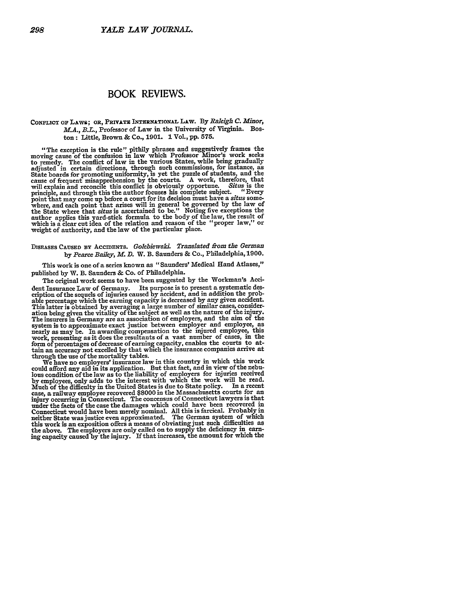## BOOK REVIEWS.

## CONFLICT **Op** LAWS; **OR, PRIVATE INTERNATIONAL** Liw. **By** *Raleigh C. Minor, M.A., B.L.,* Professor of Law in the University of Virginia. Boston: Little, Brown **&** Co., **1901. 1** Vol., **pp. 575.**

"The exception is the rule" pithily phrases and suggestively frames the moving cause of the confusion in law which Professor Minor's work seeks to remedy. The conflict of law in the various States, while being gradually adjusted in certain directions, through such commissions, for instance, as State boards for promoting uniformity, is yet the puzzle of students, and the cause of frequent misapprehension by the courts. A work, therefore, that<br>will explain and reconcile this conflict is obviously opportune. Situs is the<br>principle, and through this the author focuses his complete subject. . point that may come up before a court for its decision must have a situs somewhere, and each point that arises will in general be governed by the law of the State where that situs is ascertained to be." Noting five excepti author applies this yard-stick formula to the body of the law, the result of which is a clear cut idea of the relation and reason of the "proper law," or weight of authority, and the law of the particular place.

## DISEASES **CAUSED BY ACCIDENTS.** *Golebiewski. Translated from the German by Pearce Bailey, M. D.* W. B. Saunders **&** Co., Philadelphia, 1900.

This work is one of a series known as "Saunders' Medical Hand Atlases," published by W. B. Saunders **&** Co. of Philadelphia.

The original work seems to have been suggested by the Workman's Accident Insurance Law of Germany. Its purpose is to present a systematic des-cription of the sequels of injuries caused by accident, and in addition the probable percentage which the earning capacity is decreased by any given accident. This latter is obtained by averaging a large number of similar cases, consideration being given the vitality of the subject as well as the nature of the injury. The insurers in Germany are an association of employers, and the aim of the system is to approximate exact justice between employer and employee, as nearly as may be. In awarding compensation to the injured employee, this work, presenting as it does the resultants of a vast number of cases, in the form **of** percentages of decrease of earning capacity, enables the courts to attain an accuracy not excelled **by** that which the insurance companies arrive at through the use of the mortality tables.

We have no employers' insurance law in this country in which this work could afford any aid in its application. But that fact, and in view of the nebulous condition of the law as to the liability of employers for injuries received **by** employees, only adds to the interest with which the work will **be** read. Much of the difficulty in the United States is due to State policy. In a recent **case,** a railway employee recovered **\$8000** in the Massachusetts courts for an injury occurring in Connecticut. The concensus of Connecticut lawyers is that under the facts of the case the damages which could have been recovered in Connecticut would have been merely nominal. **All** this is farcical. Probably in neither State was justice even approximated. The German system of which this work is an exposition offers a means of obviating just such difficulties as the above. The employers are only called on to supply the deficiency i earning capacity caused **by** the injury. Ifthat increases, the amount **for** which the